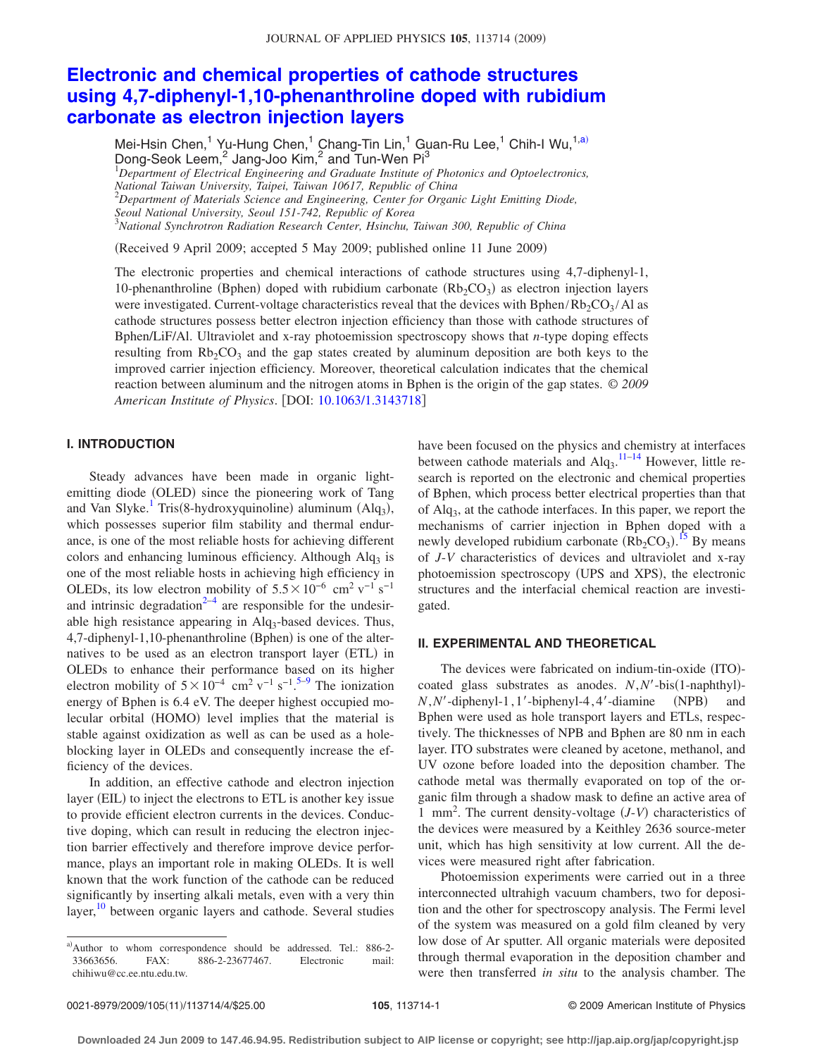# **[Electronic and chemical properties of cathode structures](http://dx.doi.org/10.1063/1.3143718) [using 4,7-diphenyl-1,10-phenanthroline doped with rubidium](http://dx.doi.org/10.1063/1.3143718) [carbonate as electron injection layers](http://dx.doi.org/10.1063/1.3143718)**

Mei-Hsin Chen,<sup>1</sup> Yu-Hung Chen,<sup>1</sup> Chang-Tin Lin,<sup>1</sup> Guan-Ru Lee,<sup>1</sup> Chih-I Wu,<sup>1[,a](#page-0-0))</sup> Dong-Seok Leem,<sup>2</sup> Jang-Joo Kim,<sup>2</sup> and Tun-Wen Pi<sup>3</sup> 1 *Department of Electrical Engineering and Graduate Institute of Photonics and Optoelectronics, National Taiwan University, Taipei, Taiwan 10617, Republic of China* 2 *Department of Materials Science and Engineering, Center for Organic Light Emitting Diode, Seoul National University, Seoul 151-742, Republic of Korea* 3 *National Synchrotron Radiation Research Center, Hsinchu, Taiwan 300, Republic of China*

(Received 9 April 2009; accepted 5 May 2009; published online 11 June 2009)

The electronic properties and chemical interactions of cathode structures using 4,7-diphenyl-1, 10-phenanthroline (Bphen) doped with rubidium carbonate  $(Rb<sub>2</sub>CO<sub>3</sub>)$  as electron injection layers were investigated. Current-voltage characteristics reveal that the devices with Bphen/Rb<sub>2</sub>CO<sub>3</sub>/Al as cathode structures possess better electron injection efficiency than those with cathode structures of Bphen/LiF/Al. Ultraviolet and x-ray photoemission spectroscopy shows that *n*-type doping effects resulting from  $Rb_2CO_3$  and the gap states created by aluminum deposition are both keys to the improved carrier injection efficiency. Moreover, theoretical calculation indicates that the chemical reaction between aluminum and the nitrogen atoms in Bphen is the origin of the gap states. © *2009 American Institute of Physics*. DOI: [10.1063/1.3143718](http://dx.doi.org/10.1063/1.3143718)

# **I. INTRODUCTION**

Steady advances have been made in organic lightemitting diode (OLED) since the pioneering work of Tang and Van Slyke.<sup>1</sup> Tris(8-hydroxyquinoline) aluminum (Alq<sub>3</sub>), which possesses superior film stability and thermal endurance, is one of the most reliable hosts for achieving different colors and enhancing luminous efficiency. Although  $Alg<sub>3</sub>$  is one of the most reliable hosts in achieving high efficiency in OLEDs, its low electron mobility of  $5.5\times10^{-6}$  cm<sup>2</sup> v<sup>-1</sup> s<sup>-1</sup> and intrinsic degradation<sup>2-4</sup> are responsible for the undesirable high resistance appearing in Alq<sub>3</sub>-based devices. Thus, 4,7-diphenyl-1,10-phenanthroline (Bphen) is one of the alternatives to be used as an electron transport layer (ETL) in OLEDs to enhance their performance based on its higher electron mobility of  $5\times10^{-4}$  $5\times10^{-4}$  cm<sup>2</sup> v<sup>-1</sup> s<sup>-1</sup>.<sup>5-9</sup> The ionization energy of Bphen is 6.4 eV. The deeper highest occupied molecular orbital (HOMO) level implies that the material is stable against oxidization as well as can be used as a holeblocking layer in OLEDs and consequently increase the efficiency of the devices.

In addition, an effective cathode and electron injection layer (EIL) to inject the electrons to ETL is another key issue to provide efficient electron currents in the devices. Conductive doping, which can result in reducing the electron injection barrier effectively and therefore improve device performance, plays an important role in making OLEDs. It is well known that the work function of the cathode can be reduced significantly by inserting alkali metals, even with a very thin layer,<sup>[10](#page-3-4)</sup> between organic layers and cathode. Several studies

have been focused on the physics and chemistry at interfaces between cathode materials and  $\text{Alg}_3$ .  $^{11-14}$  $^{11-14}$  $^{11-14}$  However, little research is reported on the electronic and chemical properties of Bphen, which process better electrical properties than that of Alq3, at the cathode interfaces. In this paper, we report the mechanisms of carrier injection in Bphen doped with a newly developed rubidium carbonate  $(Rb_2CO_3)$ .<sup>[15](#page-3-7)</sup> By means of *J*-*V* characteristics of devices and ultraviolet and x-ray photoemission spectroscopy (UPS and XPS), the electronic structures and the interfacial chemical reaction are investigated.

### **II. EXPERIMENTAL AND THEORETICAL**

The devices were fabricated on indium-tin-oxide (ITO)coated glass substrates as anodes. *N*, *N'*-bis(1-naphthyl)- $N$ , $N'$ -diphenyl-1, 1'-biphenyl-4, 4'-diamine (NPB) and Bphen were used as hole transport layers and ETLs, respectively. The thicknesses of NPB and Bphen are 80 nm in each layer. ITO substrates were cleaned by acetone, methanol, and UV ozone before loaded into the deposition chamber. The cathode metal was thermally evaporated on top of the organic film through a shadow mask to define an active area of 1 mm<sup>2</sup>. The current density-voltage (*J-V*) characteristics of the devices were measured by a Keithley 2636 source-meter unit, which has high sensitivity at low current. All the devices were measured right after fabrication.

Photoemission experiments were carried out in a three interconnected ultrahigh vacuum chambers, two for deposition and the other for spectroscopy analysis. The Fermi level of the system was measured on a gold film cleaned by very low dose of Ar sputter. All organic materials were deposited through thermal evaporation in the deposition chamber and were then transferred *in situ* to the analysis chamber. The

<span id="page-0-0"></span>a)Author to whom correspondence should be addressed. Tel.: 886-2-33663656. FAX: 886-2-23677467. Electronic mail: chihiwu@cc.ee.ntu.edu.tw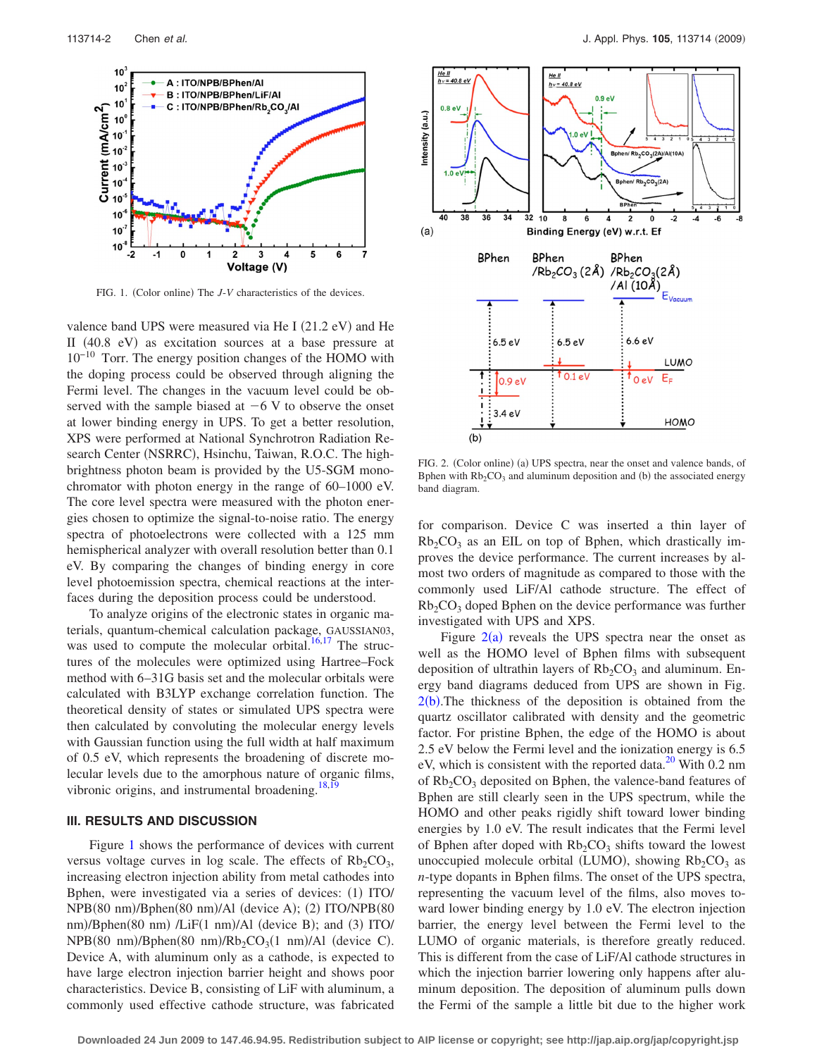<span id="page-1-0"></span>

FIG. 1. (Color online) The *J*-*V* characteristics of the devices.

valence band UPS were measured via He I (21.2 eV) and He II (40.8 eV) as excitation sources at a base pressure at 10−10 Torr. The energy position changes of the HOMO with the doping process could be observed through aligning the Fermi level. The changes in the vacuum level could be observed with the sample biased at  $-6$  V to observe the onset at lower binding energy in UPS. To get a better resolution, XPS were performed at National Synchrotron Radiation Research Center (NSRRC), Hsinchu, Taiwan, R.O.C. The highbrightness photon beam is provided by the U5-SGM monochromator with photon energy in the range of 60–1000 eV. The core level spectra were measured with the photon energies chosen to optimize the signal-to-noise ratio. The energy spectra of photoelectrons were collected with a 125 mm hemispherical analyzer with overall resolution better than 0.1 eV. By comparing the changes of binding energy in core level photoemission spectra, chemical reactions at the interfaces during the deposition process could be understood.

To analyze origins of the electronic states in organic materials, quantum-chemical calculation package, GAUSSIAN03, was used to compute the molecular orbital. $16,17$  $16,17$  The structures of the molecules were optimized using Hartree–Fock method with 6–31G basis set and the molecular orbitals were calculated with B3LYP exchange correlation function. The theoretical density of states or simulated UPS spectra were then calculated by convoluting the molecular energy levels with Gaussian function using the full width at half maximum of 0.5 eV, which represents the broadening of discrete molecular levels due to the amorphous nature of organic films, vibronic origins, and instrumental broadening.<sup>18[,19](#page-3-11)</sup>

## **III. RESULTS AND DISCUSSION**

Figure [1](#page-1-0) shows the performance of devices with current versus voltage curves in log scale. The effects of  $Rb_2CO_3$ , increasing electron injection ability from metal cathodes into Bphen, were investigated via a series of devices: (1) ITO/ NPB(80 nm)/Bphen(80 nm)/Al (device A); (2) ITO/NPB(80 nm)/Bphen(80 nm) /LiF(1 nm)/Al (device B); and (3) ITO/  $NPB(80 nm)/Bphen(80 nm)/Rb<sub>2</sub>CO<sub>3</sub>(1 nm)/Al$  (device C). Device A, with aluminum only as a cathode, is expected to have large electron injection barrier height and shows poor characteristics. Device B, consisting of LiF with aluminum, a commonly used effective cathode structure, was fabricated

<span id="page-1-1"></span>

FIG. 2. (Color online) (a) UPS spectra, near the onset and valence bands, of Bphen with  $Rb_2CO_3$  and aluminum deposition and (b) the associated energy band diagram.

for comparison. Device C was inserted a thin layer of  $Rb_2CO_3$  as an EIL on top of Bphen, which drastically improves the device performance. The current increases by almost two orders of magnitude as compared to those with the commonly used LiF/Al cathode structure. The effect of  $Rb_2CO_3$  doped Bphen on the device performance was further investigated with UPS and XPS.

Figure  $2(a)$  $2(a)$  reveals the UPS spectra near the onset as well as the HOMO level of Bphen films with subsequent deposition of ultrathin layers of  $Rb_2CO_3$  and aluminum. Energy band diagrams deduced from UPS are shown in Fig.  $2(b)$  $2(b)$ . The thickness of the deposition is obtained from the quartz oscillator calibrated with density and the geometric factor. For pristine Bphen, the edge of the HOMO is about 2.5 eV below the Fermi level and the ionization energy is 6.5 eV, which is consistent with the reported data. $^{20}$  With 0.2 nm of  $Rb_2CO_3$  deposited on Bphen, the valence-band features of Bphen are still clearly seen in the UPS spectrum, while the HOMO and other peaks rigidly shift toward lower binding energies by 1.0 eV. The result indicates that the Fermi level of Bphen after doped with  $Rb_2CO_3$  shifts toward the lowest unoccupied molecule orbital (LUMO), showing  $Rb_2CO_3$  as *n*-type dopants in Bphen films. The onset of the UPS spectra, representing the vacuum level of the films, also moves toward lower binding energy by 1.0 eV. The electron injection barrier, the energy level between the Fermi level to the LUMO of organic materials, is therefore greatly reduced. This is different from the case of LiF/Al cathode structures in which the injection barrier lowering only happens after aluminum deposition. The deposition of aluminum pulls down the Fermi of the sample a little bit due to the higher work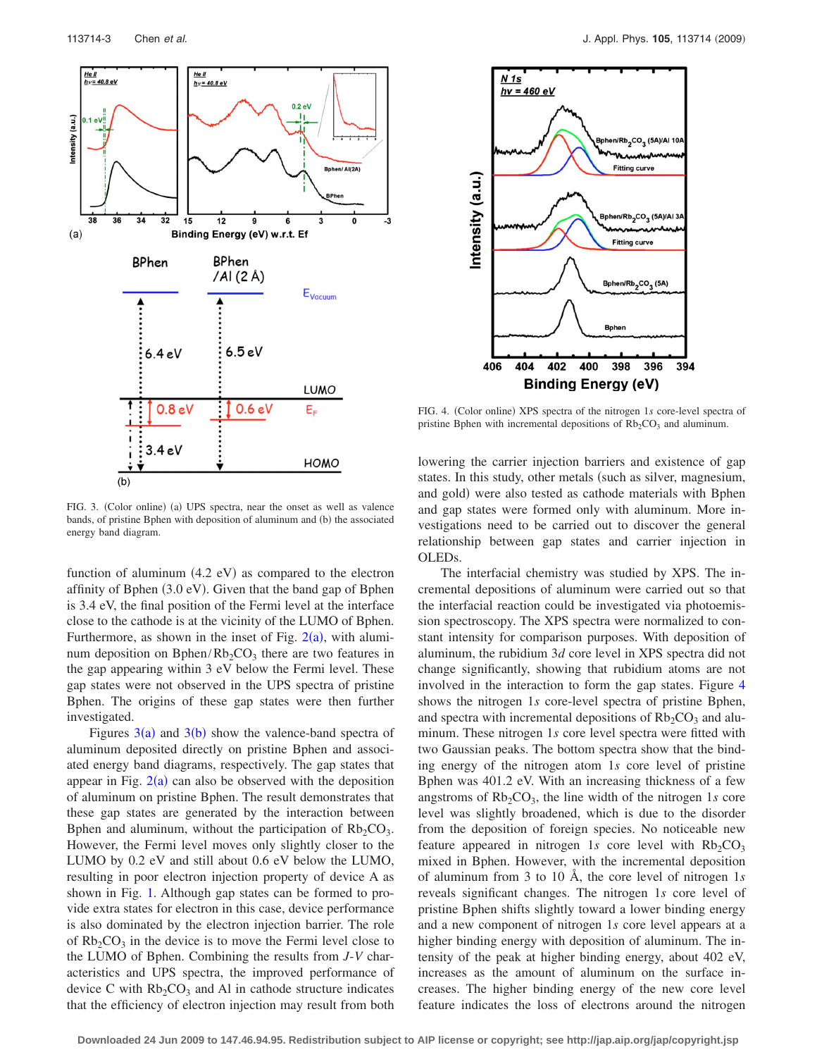<span id="page-2-0"></span>

FIG. 3. (Color online) (a) UPS spectra, near the onset as well as valence bands, of pristine Bphen with deposition of aluminum and (b) the associated energy band diagram.

function of aluminum  $(4.2 \text{ eV})$  as compared to the electron affinity of Bphen (3.0 eV). Given that the band gap of Bphen is 3.4 eV, the final position of the Fermi level at the interface close to the cathode is at the vicinity of the LUMO of Bphen. Furthermore, as shown in the inset of Fig.  $2(a)$  $2(a)$ , with aluminum deposition on Bphen/Rb<sub>2</sub>CO<sub>3</sub> there are two features in the gap appearing within 3 eV below the Fermi level. These gap states were not observed in the UPS spectra of pristine Bphen. The origins of these gap states were then further investigated.

Figures  $3(a)$  $3(a)$  and  $3(b)$  show the valence-band spectra of aluminum deposited directly on pristine Bphen and associated energy band diagrams, respectively. The gap states that appear in Fig.  $2(a)$  $2(a)$  can also be observed with the deposition of aluminum on pristine Bphen. The result demonstrates that these gap states are generated by the interaction between Bphen and aluminum, without the participation of  $Rb_2CO_3$ . However, the Fermi level moves only slightly closer to the LUMO by 0.2 eV and still about 0.6 eV below the LUMO, resulting in poor electron injection property of device A as shown in Fig. [1.](#page-1-0) Although gap states can be formed to provide extra states for electron in this case, device performance is also dominated by the electron injection barrier. The role of  $Rb_2CO_3$  in the device is to move the Fermi level close to the LUMO of Bphen. Combining the results from *J*-*V* characteristics and UPS spectra, the improved performance of device C with  $Rb_2CO_3$  and Al in cathode structure indicates that the efficiency of electron injection may result from both

<span id="page-2-1"></span>

FIG. 4. (Color online) XPS spectra of the nitrogen 1s core-level spectra of pristine Bphen with incremental depositions of  $Rb<sub>2</sub>CO<sub>3</sub>$  and aluminum.

lowering the carrier injection barriers and existence of gap states. In this study, other metals (such as silver, magnesium, and gold) were also tested as cathode materials with Bphen and gap states were formed only with aluminum. More investigations need to be carried out to discover the general relationship between gap states and carrier injection in OLEDs.

The interfacial chemistry was studied by XPS. The incremental depositions of aluminum were carried out so that the interfacial reaction could be investigated via photoemission spectroscopy. The XPS spectra were normalized to constant intensity for comparison purposes. With deposition of aluminum, the rubidium 3*d* core level in XPS spectra did not change significantly, showing that rubidium atoms are not involved in the interaction to form the gap states. Figure [4](#page-2-1) shows the nitrogen 1*s* core-level spectra of pristine Bphen, and spectra with incremental depositions of  $Rb<sub>2</sub>CO<sub>3</sub>$  and aluminum. These nitrogen 1*s* core level spectra were fitted with two Gaussian peaks. The bottom spectra show that the binding energy of the nitrogen atom 1*s* core level of pristine Bphen was 401.2 eV. With an increasing thickness of a few angstroms of  $Rb_2CO_3$ , the line width of the nitrogen 1*s* core level was slightly broadened, which is due to the disorder from the deposition of foreign species. No noticeable new feature appeared in nitrogen 1s core level with  $Rb_2CO_3$ mixed in Bphen. However, with the incremental deposition of aluminum from 3 to 10 Å, the core level of nitrogen 1*s* reveals significant changes. The nitrogen 1*s* core level of pristine Bphen shifts slightly toward a lower binding energy and a new component of nitrogen 1*s* core level appears at a higher binding energy with deposition of aluminum. The intensity of the peak at higher binding energy, about 402 eV, increases as the amount of aluminum on the surface increases. The higher binding energy of the new core level feature indicates the loss of electrons around the nitrogen